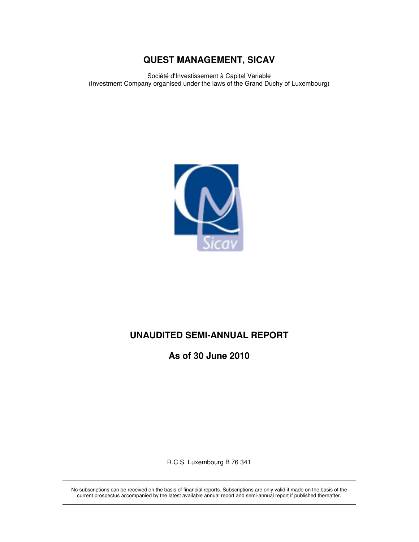Société d'Investissement à Capital Variable (Investment Company organised under the laws of the Grand Duchy of Luxembourg)



# **UNAUDITED SEMI-ANNUAL REPORT**

**As of 30 June 2010** 

R.C.S. Luxembourg B 76 341

No subscriptions can be received on the basis of financial reports. Subscriptions are only valid if made on the basis of the current prospectus accompanied by the latest available annual report and semi-annual report if published thereafter.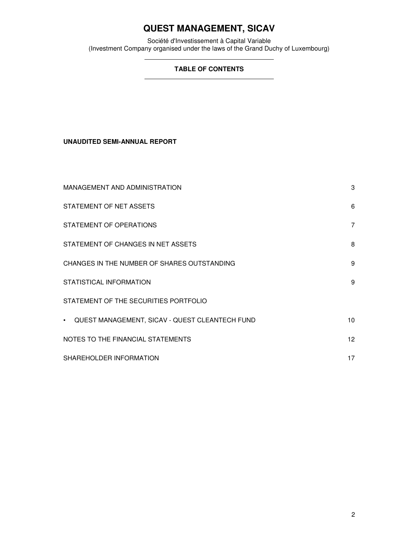Société d'Investissement à Capital Variable (Investment Company organised under the laws of the Grand Duchy of Luxembourg)

# **TABLE OF CONTENTS**

**UNAUDITED SEMI-ANNUAL REPORT** 

| MANAGEMENT AND ADMINISTRATION                    | 3                |
|--------------------------------------------------|------------------|
| STATEMENT OF NET ASSETS                          | 6                |
| STATEMENT OF OPERATIONS                          | $\overline{7}$   |
| STATEMENT OF CHANGES IN NET ASSETS               | 8                |
| CHANGES IN THE NUMBER OF SHARES OUTSTANDING      | 9                |
| STATISTICAL INFORMATION                          | 9                |
| STATEMENT OF THE SECURITIES PORTFOLIO            |                  |
| • QUEST MANAGEMENT, SICAV - QUEST CLEANTECH FUND | 10               |
| NOTES TO THE FINANCIAL STATEMENTS                | 12 <sup>12</sup> |
| SHAREHOLDER INFORMATION                          | 17               |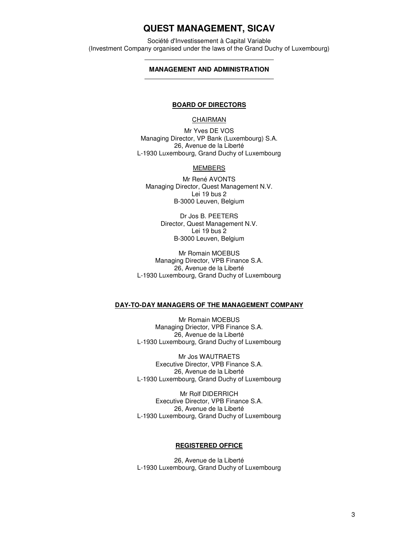Société d'Investissement à Capital Variable (Investment Company organised under the laws of the Grand Duchy of Luxembourg)

### **MANAGEMENT AND ADMINISTRATION**

### **BOARD OF DIRECTORS**

### **CHAIRMAN**

Mr Yves DE VOS Managing Director, VP Bank (Luxembourg) S.A. 26, Avenue de la Liberté L-1930 Luxembourg, Grand Duchy of Luxembourg

#### MEMBERS

Mr René AVONTS Managing Director, Quest Management N.V. Lei 19 bus 2 B-3000 Leuven, Belgium

> Dr Jos B. PEETERS Director, Quest Management N.V. Lei 19 bus 2 B-3000 Leuven, Belgium

Mr Romain MOEBUS Managing Director, VPB Finance S.A. 26, Avenue de la Liberté L-1930 Luxembourg, Grand Duchy of Luxembourg

#### **DAY-TO-DAY MANAGERS OF THE MANAGEMENT COMPANY**

Mr Romain MOEBUS Managing Driector, VPB Finance S.A. 26, Avenue de la Liberté L-1930 Luxembourg, Grand Duchy of Luxembourg

Mr Jos WAUTRAETS Executive Director, VPB Finance S.A. 26, Avenue de la Liberté L-1930 Luxembourg, Grand Duchy of Luxembourg

Mr Rolf DIDERRICH Executive Director, VPB Finance S.A. 26, Avenue de la Liberté L-1930 Luxembourg, Grand Duchy of Luxembourg

### **REGISTERED OFFICE**

26, Avenue de la Liberté L-1930 Luxembourg, Grand Duchy of Luxembourg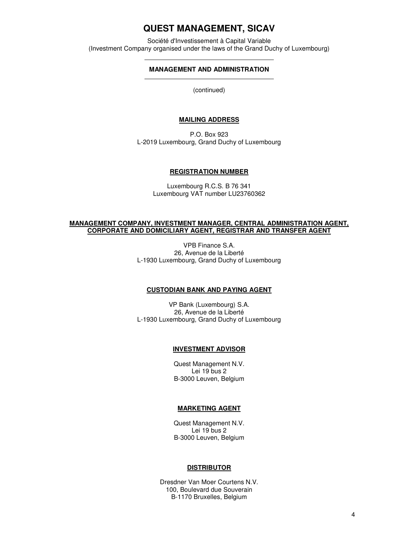Société d'Investissement à Capital Variable (Investment Company organised under the laws of the Grand Duchy of Luxembourg)

### **MANAGEMENT AND ADMINISTRATION**

(continued)

#### **MAILING ADDRESS**

P.O. Box 923 L-2019 Luxembourg, Grand Duchy of Luxembourg

#### **REGISTRATION NUMBER**

Luxembourg R.C.S. B 76 341 Luxembourg VAT number LU23760362

### **MANAGEMENT COMPANY, INVESTMENT MANAGER, CENTRAL ADMINISTRATION AGENT, CORPORATE AND DOMICILIARY AGENT, REGISTRAR AND TRANSFER AGENT**

VPB Finance S.A. 26, Avenue de la Liberté L-1930 Luxembourg, Grand Duchy of Luxembourg

### **CUSTODIAN BANK AND PAYING AGENT**

VP Bank (Luxembourg) S.A. 26, Avenue de la Liberté L-1930 Luxembourg, Grand Duchy of Luxembourg

#### **INVESTMENT ADVISOR**

Quest Management N.V. Lei 19 bus 2 B-3000 Leuven, Belgium

#### **MARKETING AGENT**

Quest Management N.V. Lei 19 bus 2 B-3000 Leuven, Belgium

### **DISTRIBUTOR**

Dresdner Van Moer Courtens N.V. 100, Boulevard due Souverain B-1170 Bruxelles, Belgium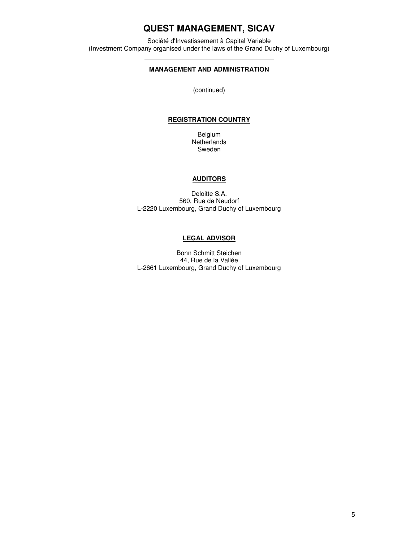Société d'Investissement à Capital Variable (Investment Company organised under the laws of the Grand Duchy of Luxembourg)

# **MANAGEMENT AND ADMINISTRATION**

(continued)

### **REGISTRATION COUNTRY**

Belgium **Netherlands** Sweden

## **AUDITORS**

Deloitte S.A. 560, Rue de Neudorf L-2220 Luxembourg, Grand Duchy of Luxembourg

### **LEGAL ADVISOR**

Bonn Schmitt Steichen 44, Rue de la Vallée L-2661 Luxembourg, Grand Duchy of Luxembourg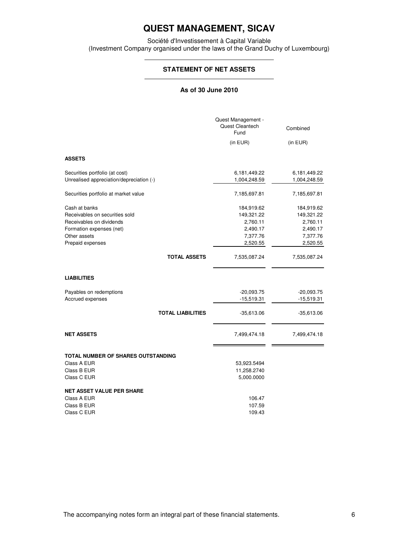Société d'Investissement à Capital Variable (Investment Company organised under the laws of the Grand Duchy of Luxembourg)

### **STATEMENT OF NET ASSETS**

### **As of 30 June 2010**

|                                                                                                                                             | Quest Management -<br>Quest Cleantech<br>Fund                            | Combined                                                                 |
|---------------------------------------------------------------------------------------------------------------------------------------------|--------------------------------------------------------------------------|--------------------------------------------------------------------------|
|                                                                                                                                             | (in EUR)                                                                 | (in EUR)                                                                 |
| <b>ASSETS</b>                                                                                                                               |                                                                          |                                                                          |
| Securities portfolio (at cost)<br>Unrealised appreciation/depreciation (-)                                                                  | 6,181,449.22<br>1,004,248.59                                             | 6,181,449.22<br>1,004,248.59                                             |
| Securities portfolio at market value                                                                                                        | 7,185,697.81                                                             | 7,185,697.81                                                             |
| Cash at banks<br>Receivables on securities sold<br>Receivables on dividends<br>Formation expenses (net)<br>Other assets<br>Prepaid expenses | 184,919.62<br>149,321.22<br>2,760.11<br>2,490.17<br>7,377.76<br>2,520.55 | 184,919.62<br>149,321.22<br>2,760.11<br>2,490.17<br>7,377.76<br>2,520.55 |
| <b>TOTAL ASSETS</b>                                                                                                                         | 7,535,087.24                                                             | 7,535,087.24                                                             |
| <b>LIABILITIES</b>                                                                                                                          |                                                                          |                                                                          |
| Payables on redemptions<br>Accrued expenses                                                                                                 | $-20,093.75$<br>$-15,519.31$                                             | $-20,093.75$<br>$-15,519.31$                                             |
| <b>TOTAL LIABILITIES</b>                                                                                                                    | $-35,613.06$                                                             | $-35,613.06$                                                             |
| <b>NET ASSETS</b>                                                                                                                           | 7,499,474.18                                                             | 7,499,474.18                                                             |
| TOTAL NUMBER OF SHARES OUTSTANDING<br>Class A EUR<br>Class B EUR<br>Class C EUR                                                             | 53,923.5494<br>11,258.2740<br>5,000.0000                                 |                                                                          |
| <b>NET ASSET VALUE PER SHARE</b><br>Class A EUR<br>Class B EUR<br>Class C EUR                                                               | 106.47<br>107.59<br>109.43                                               |                                                                          |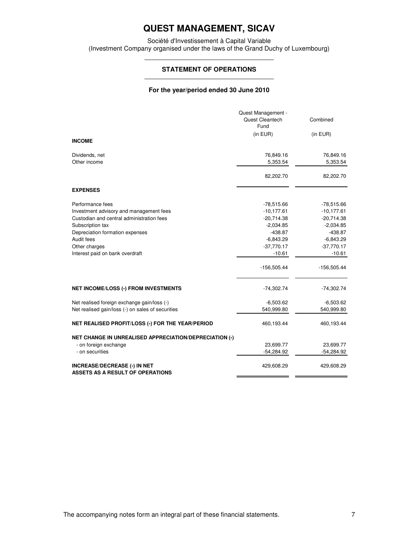Société d'Investissement à Capital Variable (Investment Company organised under the laws of the Grand Duchy of Luxembourg)

### **STATEMENT OF OPERATIONS**

## **For the year/period ended 30 June 2010**

|                                                                         | Quest Management -<br>Quest Cleantech<br>Fund | Combined      |
|-------------------------------------------------------------------------|-----------------------------------------------|---------------|
|                                                                         | (in EUR)                                      | (in EUR)      |
| <b>INCOME</b>                                                           |                                               |               |
| Dividends, net                                                          | 76,849.16                                     | 76,849.16     |
| Other income                                                            | 5,353.54                                      | 5,353.54      |
|                                                                         | 82,202.70                                     | 82,202.70     |
| <b>EXPENSES</b>                                                         |                                               |               |
| Performance fees                                                        | $-78,515.66$                                  | $-78,515.66$  |
| Investment advisory and management fees                                 | $-10, 177.61$                                 | $-10,177.61$  |
| Custodian and central administration fees                               | $-20,714.38$                                  | $-20,714.38$  |
| Subscription tax                                                        | $-2,034.85$                                   | $-2,034.85$   |
| Depreciation formation expenses                                         | $-438.87$                                     | $-438.87$     |
| Audit fees                                                              | $-6,843.29$                                   | $-6,843.29$   |
| Other charges                                                           | $-37,770.17$                                  | $-37,770.17$  |
| Interest paid on bank overdraft                                         | $-10.61$                                      | $-10.61$      |
|                                                                         | $-156,505.44$                                 | $-156,505.44$ |
| <b>NET INCOME/LOSS (-) FROM INVESTMENTS</b>                             | $-74,302.74$                                  | $-74,302.74$  |
| Net realised foreign exchange gain/loss (-)                             | $-6,503.62$                                   | $-6,503.62$   |
| Net realised gain/loss (-) on sales of securities                       | 540,999.80                                    | 540,999.80    |
|                                                                         |                                               |               |
| NET REALISED PROFIT/LOSS (-) FOR THE YEAR/PERIOD                        | 460,193.44                                    | 460,193.44    |
| <b>NET CHANGE IN UNREALISED APPRECIATION/DEPRECIATION (-)</b>           |                                               |               |
| - on foreign exchange                                                   | 23,699.77                                     | 23,699.77     |
| - on securities                                                         | $-54,284.92$                                  | $-54,284.92$  |
| <b>INCREASE/DECREASE (-) IN NET</b><br>ASSETS AS A RESULT OF OPERATIONS | 429,608.29                                    | 429,608.29    |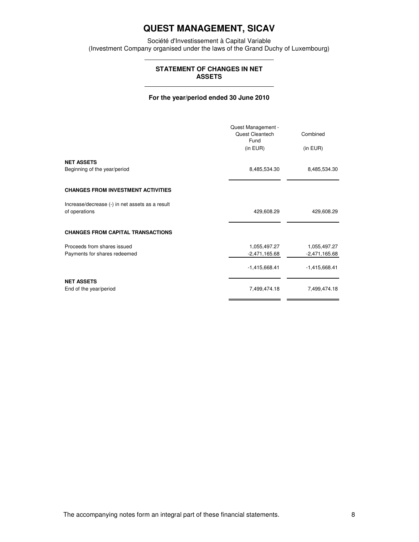Société d'Investissement à Capital Variable (Investment Company organised under the laws of the Grand Duchy of Luxembourg)

# **STATEMENT OF CHANGES IN NET ASSETS**

### **For the year/period ended 30 June 2010**

|                                                                  | Quest Management -<br>Quest Cleantech<br>Fund<br>(in EUR) | Combined<br>(in EUR)            |
|------------------------------------------------------------------|-----------------------------------------------------------|---------------------------------|
| <b>NET ASSETS</b><br>Beginning of the year/period                | 8,485,534.30                                              | 8,485,534.30                    |
| <b>CHANGES FROM INVESTMENT ACTIVITIES</b>                        |                                                           |                                 |
| Increase/decrease (-) in net assets as a result<br>of operations | 429,608.29                                                | 429,608.29                      |
| <b>CHANGES FROM CAPITAL TRANSACTIONS</b>                         |                                                           |                                 |
| Proceeds from shares issued<br>Payments for shares redeemed      | 1,055,497.27<br>$-2,471,165.68$                           | 1,055,497.27<br>$-2,471,165.68$ |
|                                                                  | $-1,415,668.41$                                           | $-1,415,668.41$                 |
| <b>NET ASSETS</b><br>End of the year/period                      | 7,499,474.18                                              | 7,499,474.18                    |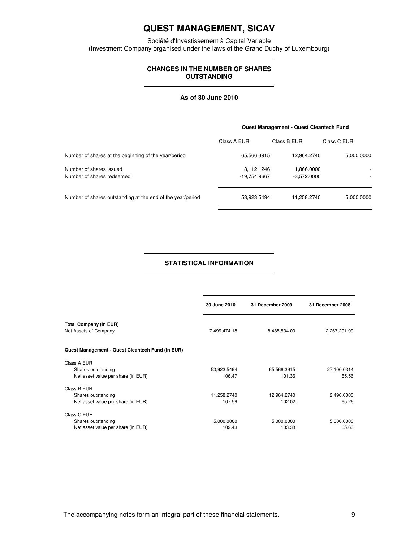Société d'Investissement à Capital Variable (Investment Company organised under the laws of the Grand Duchy of Luxembourg)

# **CHANGES IN THE NUMBER OF SHARES OUTSTANDING**

#### **As of 30 June 2010**

#### **Quest Management - Quest Cleantech Fund**

|                                                            | Class A EUR                | Class B EUR                 | Class C EUR                                          |
|------------------------------------------------------------|----------------------------|-----------------------------|------------------------------------------------------|
| Number of shares at the beginning of the year/period       | 65.566.3915                | 12.964.2740                 | 5,000.0000                                           |
| Number of shares issued<br>Number of shares redeemed       | 8,112.1246<br>-19,754.9667 | 1,866,0000<br>$-3.572.0000$ | $\overline{\phantom{a}}$<br>$\overline{\phantom{0}}$ |
| Number of shares outstanding at the end of the year/period | 53,923.5494                | 11.258.2740                 | 5,000.0000                                           |

### **STATISTICAL INFORMATION**

|                                                        | 30 June 2010 | 31 December 2009 | 31 December 2008 |
|--------------------------------------------------------|--------------|------------------|------------------|
| <b>Total Company (in EUR)</b><br>Net Assets of Company | 7,499,474.18 | 8,485,534.00     | 2,267,291.99     |
| Quest Management - Quest Cleantech Fund (in EUR)       |              |                  |                  |
| Class A EUR                                            |              |                  |                  |
| Shares outstanding                                     | 53,923.5494  | 65,566.3915      | 27,100.0314      |
| Net asset value per share (in EUR)                     | 106.47       | 101.36           | 65.56            |
| Class B EUR                                            |              |                  |                  |
| Shares outstanding                                     | 11,258.2740  | 12,964.2740      | 2,490.0000       |
| Net asset value per share (in EUR)                     | 107.59       | 102.02           | 65.26            |
| Class C EUR                                            |              |                  |                  |
| Shares outstanding                                     | 5,000.0000   | 5,000.0000       | 5,000.0000       |
| Net asset value per share (in EUR)                     | 109.43       | 103.38           | 65.63            |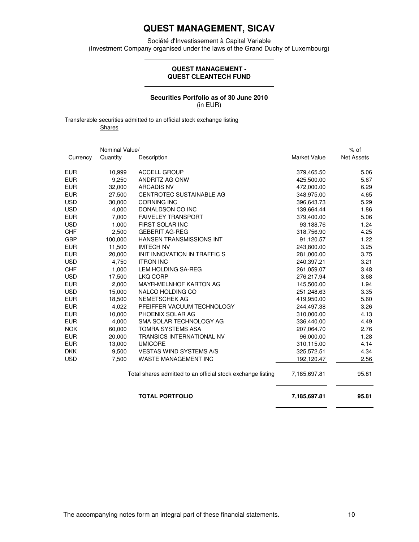Société d'Investissement à Capital Variable (Investment Company organised under the laws of the Grand Duchy of Luxembourg)

### **QUEST MANAGEMENT - QUEST CLEANTECH FUND**

### **Securities Portfolio as of 30 June 2010**  (in EUR)

Transferable securities admitted to an official stock exchange listing

**Shares** 

|            | Nominal Value/ |                                                             |              | $%$ of            |
|------------|----------------|-------------------------------------------------------------|--------------|-------------------|
| Currency   | Quantity       | Description                                                 | Market Value | <b>Net Assets</b> |
| <b>EUR</b> | 10,999         | <b>ACCELL GROUP</b>                                         | 379,465.50   | 5.06              |
| <b>EUR</b> | 9,250          | ANDRITZ AG ONW                                              | 425,500.00   | 5.67              |
| <b>EUR</b> | 32,000         | <b>ARCADIS NV</b>                                           | 472,000.00   | 6.29              |
| <b>EUR</b> | 27,500         | CENTROTEC SUSTAINABLE AG                                    | 348,975.00   | 4.65              |
| <b>USD</b> | 30,000         | <b>CORNING INC</b>                                          | 396,643.73   | 5.29              |
| <b>USD</b> | 4,000          | DONALDSON CO INC                                            | 139,664.44   | 1.86              |
| <b>EUR</b> | 7,000          | <b>FAIVELEY TRANSPORT</b>                                   | 379,400.00   | 5.06              |
| <b>USD</b> | 1,000          | FIRST SOLAR INC                                             | 93,188.76    | 1.24              |
| <b>CHF</b> | 2,500          | <b>GEBERIT AG-REG</b>                                       | 318,756.90   | 4.25              |
| <b>GBP</b> | 100,000        | HANSEN TRANSMISSIONS INT                                    | 91,120.57    | 1.22              |
| <b>EUR</b> | 11,500         | <b>IMTECH NV</b>                                            | 243,800.00   | 3.25              |
| <b>EUR</b> | 20,000         | INIT INNOVATION IN TRAFFIC S                                | 281,000.00   | 3.75              |
| <b>USD</b> | 4,750          | <b>ITRON INC</b>                                            | 240,397.21   | 3.21              |
| <b>CHF</b> | 1,000          | LEM HOLDING SA-REG                                          | 261,059.07   | 3.48              |
| <b>USD</b> | 17,500         | LKQ CORP                                                    | 276,217.94   | 3.68              |
| <b>EUR</b> | 2,000          | MAYR-MELNHOF KARTON AG                                      | 145,500.00   | 1.94              |
| <b>USD</b> | 15,000         | NALCO HOLDING CO                                            | 251,248.63   | 3.35              |
| <b>EUR</b> | 18,500         | <b>NEMETSCHEK AG</b>                                        | 419,950.00   | 5.60              |
| <b>EUR</b> | 4.022          | PFEIFFER VACUUM TECHNOLOGY                                  | 244,497.38   | 3.26              |
| <b>EUR</b> | 10,000         | PHOENIX SOLAR AG                                            | 310,000.00   | 4.13              |
| <b>EUR</b> | 4,000          | SMA SOLAR TECHNOLOGY AG                                     | 336,440.00   | 4.49              |
| <b>NOK</b> | 60,000         | <b>TOMRA SYSTEMS ASA</b>                                    | 207,064.70   | 2.76              |
| <b>EUR</b> | 20,000         | TRANSICS INTERNATIONAL NV                                   | 96,000.00    | 1.28              |
| <b>EUR</b> | 13,000         | <b>UMICORE</b>                                              | 310,115.00   | 4.14              |
| <b>DKK</b> | 9,500          | <b>VESTAS WIND SYSTEMS A/S</b>                              | 325,572.51   | 4.34              |
| <b>USD</b> | 7,500          | WASTE MANAGEMENT INC                                        | 192,120.47   | 2.56              |
|            |                | Total shares admitted to an official stock exchange listing | 7,185,697.81 | 95.81             |
|            |                | <b>TOTAL PORTFOLIO</b>                                      | 7,185,697.81 | 95.81             |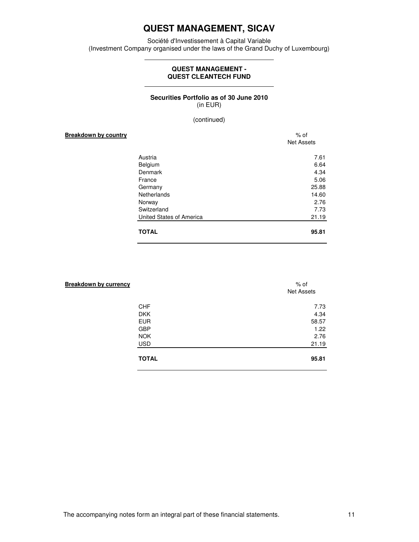Société d'Investissement à Capital Variable (Investment Company organised under the laws of the Grand Duchy of Luxembourg)

### **QUEST MANAGEMENT - QUEST CLEANTECH FUND**

### **Securities Portfolio as of 30 June 2010**  (in EUR)

(continued)

**Breakdown by country**  $\%$  of Net Assets Austria 7.61 Belgium 6.64 Denmark 4.34 France 5.06 Germany 25.88 Netherlands 14.60 Norway 2.76 Switzerland 7.73 United States of America 21.19

|              | -------- |
|--------------|----------|
| <b>TOTAL</b> | 95.81    |
|              |          |

| <b>Breakdown by currency</b> | % of<br><b>Net Assets</b> |
|------------------------------|---------------------------|
| <b>CHF</b>                   | 7.73                      |
| <b>DKK</b>                   | 4.34                      |
| <b>EUR</b>                   | 58.57                     |
| <b>GBP</b>                   | 1.22                      |
| <b>NOK</b>                   | 2.76                      |
| <b>USD</b>                   | 21.19                     |
| <b>TOTAL</b>                 | 95.81                     |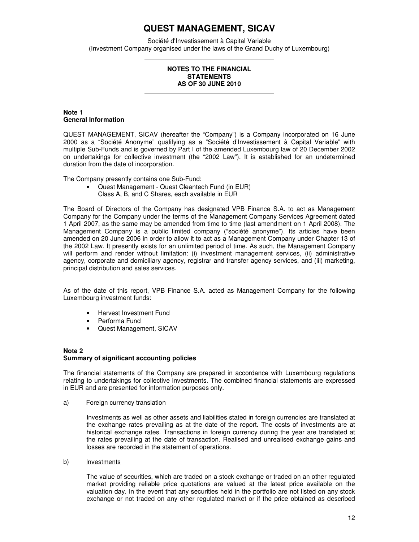Société d'Investissement à Capital Variable (Investment Company organised under the laws of the Grand Duchy of Luxembourg)

### **NOTES TO THE FINANCIAL STATEMENTS AS OF 30 JUNE 2010**

### **Note 1 General Information**

QUEST MANAGEMENT, SICAV (hereafter the "Company") is a Company incorporated on 16 June 2000 as a "Société Anonyme" qualifying as a "Société d'Investissement à Capital Variable" with multiple Sub-Funds and is governed by Part I of the amended Luxembourg law of 20 December 2002 on undertakings for collective investment (the "2002 Law"). It is established for an undetermined duration from the date of incorporation.

The Company presently contains one Sub-Fund:

• Quest Management - Quest Cleantech Fund (in EUR) Class A, B, and C Shares, each available in EUR

The Board of Directors of the Company has designated VPB Finance S.A. to act as Management Company for the Company under the terms of the Management Company Services Agreement dated 1 April 2007, as the same may be amended from time to time (last amendment on 1 April 2008). The Management Company is a public limited company ("société anonyme"). Its articles have been amended on 20 June 2006 in order to allow it to act as a Management Company under Chapter 13 of the 2002 Law. It presently exists for an unlimited period of time. As such, the Management Company will perform and render without limitation: (i) investment management services, (ii) administrative agency, corporate and domiciliary agency, registrar and transfer agency services, and (iii) marketing, principal distribution and sales services.

As of the date of this report, VPB Finance S.A. acted as Management Company for the following Luxembourg investment funds:

- Harvest Investment Fund
- Performa Fund
- Quest Management, SICAV

### **Note 2**

### **Summary of significant accounting policies**

The financial statements of the Company are prepared in accordance with Luxembourg regulations relating to undertakings for collective investments. The combined financial statements are expressed in EUR and are presented for information purposes only.

a) Foreign currency translation

Investments as well as other assets and liabilities stated in foreign currencies are translated at the exchange rates prevailing as at the date of the report. The costs of investments are at historical exchange rates. Transactions in foreign currency during the year are translated at the rates prevailing at the date of transaction. Realised and unrealised exchange gains and losses are recorded in the statement of operations.

b) Investments

The value of securities, which are traded on a stock exchange or traded on an other regulated market providing reliable price quotations are valued at the latest price available on the valuation day. In the event that any securities held in the portfolio are not listed on any stock exchange or not traded on any other regulated market or if the price obtained as described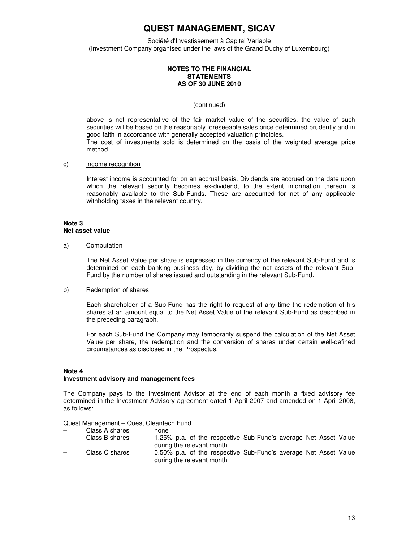Société d'Investissement à Capital Variable (Investment Company organised under the laws of the Grand Duchy of Luxembourg)

### **NOTES TO THE FINANCIAL STATEMENTS AS OF 30 JUNE 2010**

### (continued)

above is not representative of the fair market value of the securities, the value of such securities will be based on the reasonably foreseeable sales price determined prudently and in good faith in accordance with generally accepted valuation principles. The cost of investments sold is determined on the basis of the weighted average price method.

### c) Income recognition

Interest income is accounted for on an accrual basis. Dividends are accrued on the date upon which the relevant security becomes ex-dividend, to the extent information thereon is reasonably available to the Sub-Funds. These are accounted for net of any applicable withholding taxes in the relevant country.

#### **Note 3 Net asset value**

### a) Computation

The Net Asset Value per share is expressed in the currency of the relevant Sub-Fund and is determined on each banking business day, by dividing the net assets of the relevant Sub-Fund by the number of shares issued and outstanding in the relevant Sub-Fund.

### b) Redemption of shares

Each shareholder of a Sub-Fund has the right to request at any time the redemption of his shares at an amount equal to the Net Asset Value of the relevant Sub-Fund as described in the preceding paragraph.

For each Sub-Fund the Company may temporarily suspend the calculation of the Net Asset Value per share, the redemption and the conversion of shares under certain well-defined circumstances as disclosed in the Prospectus.

### **Note 4**

### **Investment advisory and management fees**

The Company pays to the Investment Advisor at the end of each month a fixed advisory fee determined in the Investment Advisory agreement dated 1 April 2007 and amended on 1 April 2008, as follows:

### Quest Management – Quest Cleantech Fund

| Class A shares<br>$\overline{\phantom{0}}$<br>none |                                                                                              |  |  |
|----------------------------------------------------|----------------------------------------------------------------------------------------------|--|--|
| Class B shares<br>$\overline{\phantom{0}}$         | 1.25% p.a. of the respective Sub-Fund's average Net Asset Value                              |  |  |
|                                                    | during the relevant month                                                                    |  |  |
| Class C shares<br>$\overline{\phantom{0}}$         | 0.50% p.a. of the respective Sub-Fund's average Net Asset Value<br>during the relevant month |  |  |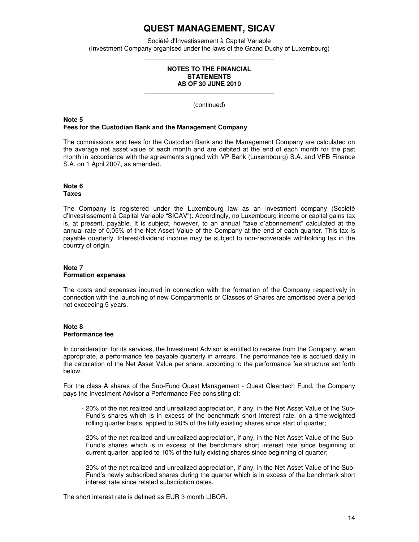Société d'Investissement à Capital Variable (Investment Company organised under the laws of the Grand Duchy of Luxembourg)

### **NOTES TO THE FINANCIAL STATEMENTS AS OF 30 JUNE 2010**

(continued)

### **Note 5 Fees for the Custodian Bank and the Management Company**

The commissions and fees for the Custodian Bank and the Management Company are calculated on the average net asset value of each month and are debited at the end of each month for the past month in accordance with the agreements signed with VP Bank (Luxembourg) S.A. and VPB Finance S.A. on 1 April 2007, as amended.

#### **Note 6 Taxes**

The Company is registered under the Luxembourg law as an investment company (Société d'Investissement à Capital Variable "SICAV"). Accordingly, no Luxembourg income or capital gains tax is, at present, payable. It is subject, however, to an annual "taxe d'abonnement" calculated at the annual rate of 0,05% of the Net Asset Value of the Company at the end of each quarter. This tax is payable quarterly. Interest/dividend income may be subject to non-recoverable withholding tax in the country of origin.

## **Note 7 Formation expenses**

The costs and expenses incurred in connection with the formation of the Company respectively in connection with the launching of new Compartments or Classes of Shares are amortised over a period not exceeding 5 years.

### **Note 8 Performance fee**

In consideration for its services, the Investment Advisor is entitled to receive from the Company, when appropriate, a performance fee payable quarterly in arrears. The performance fee is accrued daily in the calculation of the Net Asset Value per share, according to the performance fee structure set forth below.

For the class A shares of the Sub-Fund Quest Management - Quest Cleantech Fund, the Company pays the Investment Advisor a Performance Fee consisting of:

- 20% of the net realized and unrealized appreciation, if any, in the Net Asset Value of the Sub-Fund's shares which is in excess of the benchmark short interest rate, on a time-weighted rolling quarter basis, applied to 90% of the fully existing shares since start of quarter;
- 20% of the net realized and unrealized appreciation, if any, in the Net Asset Value of the Sub-Fund's shares which is in excess of the benchmark short interest rate since beginning of current quarter, applied to 10% of the fully existing shares since beginning of quarter;
- 20% of the net realized and unrealized appreciation, if any, in the Net Asset Value of the Sub-Fund's newly subscribed shares during the quarter which is in excess of the benchmark short interest rate since related subscription dates.

The short interest rate is defined as EUR 3 month LIBOR.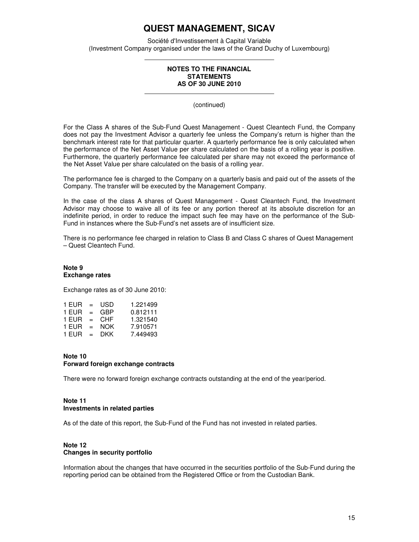Société d'Investissement à Capital Variable (Investment Company organised under the laws of the Grand Duchy of Luxembourg)

### **NOTES TO THE FINANCIAL STATEMENTS AS OF 30 JUNE 2010**

(continued)

For the Class A shares of the Sub-Fund Quest Management - Quest Cleantech Fund, the Company does not pay the Investment Advisor a quarterly fee unless the Company's return is higher than the benchmark interest rate for that particular quarter. A quarterly performance fee is only calculated when the performance of the Net Asset Value per share calculated on the basis of a rolling year is positive. Furthermore, the quarterly performance fee calculated per share may not exceed the performance of the Net Asset Value per share calculated on the basis of a rolling year.

The performance fee is charged to the Company on a quarterly basis and paid out of the assets of the Company. The transfer will be executed by the Management Company.

In the case of the class A shares of Quest Management - Quest Cleantech Fund, the Investment Advisor may choose to waive all of its fee or any portion thereof at its absolute discretion for an indefinite period, in order to reduce the impact such fee may have on the performance of the Sub-Fund in instances where the Sub-Fund's net assets are of insufficient size.

There is no performance fee charged in relation to Class B and Class C shares of Quest Management – Quest Cleantech Fund.

### **Note 9 Exchange rates**

Exchange rates as of 30 June 2010:

| 1 EUR | $=$ | USD  | 1.221499 |
|-------|-----|------|----------|
| 1 EUR | $=$ | GBP  | 0.812111 |
| 1 EUR | $=$ | CHF  | 1.321540 |
| 1 EUR | $=$ | NOK  | 7.910571 |
| 1 EUR | $=$ | DKK. | 7.449493 |

### **Note 10 Forward foreign exchange contracts**

There were no forward foreign exchange contracts outstanding at the end of the year/period.

### **Note 11 Investments in related parties**

As of the date of this report, the Sub-Fund of the Fund has not invested in related parties.

### **Note 12 Changes in security portfolio**

Information about the changes that have occurred in the securities portfolio of the Sub-Fund during the reporting period can be obtained from the Registered Office or from the Custodian Bank.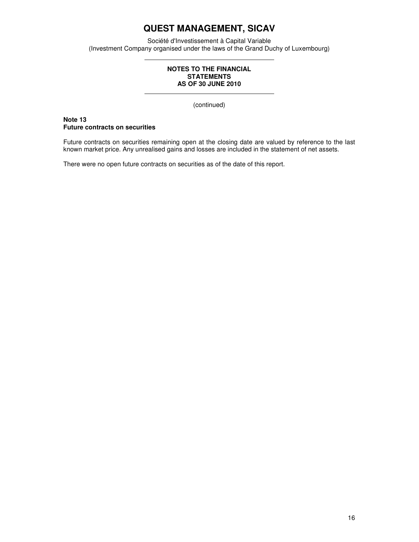Société d'Investissement à Capital Variable (Investment Company organised under the laws of the Grand Duchy of Luxembourg)

### **NOTES TO THE FINANCIAL STATEMENTS AS OF 30 JUNE 2010**

(continued)

### **Note 13 Future contracts on securities**

Future contracts on securities remaining open at the closing date are valued by reference to the last known market price. Any unrealised gains and losses are included in the statement of net assets.

There were no open future contracts on securities as of the date of this report.